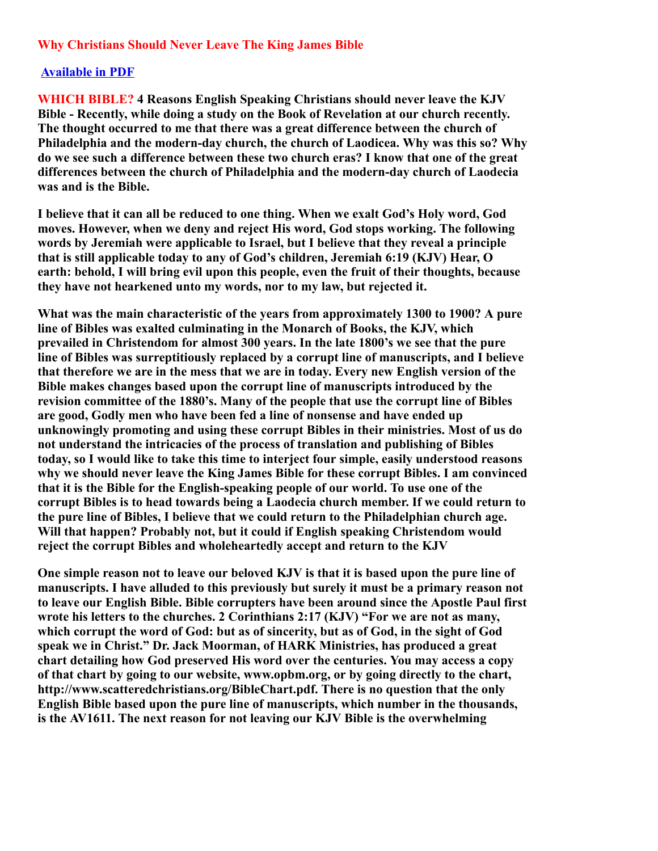# **Why Christians Should Never Leave The King James Bible**

## **[Available in PDF](http://opbm.org/WHICH%20BIBLE.pdf)**

**WHICH BIBLE? 4 Reasons English Speaking Christians should never leave the KJV Bible - Recently, while doing a study on the Book of Revelation at our church recently. The thought occurred to me that there was a great difference between the church of Philadelphia and the modern-day church, the church of Laodicea. Why was this so? Why do we see such a difference between these two church eras? I know that one of the great differences between the church of Philadelphia and the modern-day church of Laodecia was and is the Bible.**

**I believe that it can all be reduced to one thing. When we exalt God's Holy word, God moves. However, when we deny and reject His word, God stops working. The following words by Jeremiah were applicable to Israel, but I believe that they reveal a principle that is still applicable today to any of God's children, Jeremiah 6:19 (KJV) Hear, O earth: behold, I will bring evil upon this people, even the fruit of their thoughts, because they have not hearkened unto my words, nor to my law, but rejected it.**

**What was the main characteristic of the years from approximately 1300 to 1900? A pure line of Bibles was exalted culminating in the Monarch of Books, the KJV, which prevailed in Christendom for almost 300 years. In the late 1800's we see that the pure line of Bibles was surreptitiously replaced by a corrupt line of manuscripts, and I believe that therefore we are in the mess that we are in today. Every new English version of the Bible makes changes based upon the corrupt line of manuscripts introduced by the revision committee of the 1880's. Many of the people that use the corrupt line of Bibles are good, Godly men who have been fed a line of nonsense and have ended up unknowingly promoting and using these corrupt Bibles in their ministries. Most of us do not understand the intricacies of the process of translation and publishing of Bibles today, so I would like to take this time to interject four simple, easily understood reasons why we should never leave the King James Bible for these corrupt Bibles. I am convinced that it is the Bible for the English-speaking people of our world. To use one of the corrupt Bibles is to head towards being a Laodecia church member. If we could return to the pure line of Bibles, I believe that we could return to the Philadelphian church age. Will that happen? Probably not, but it could if English speaking Christendom would reject the corrupt Bibles and wholeheartedly accept and return to the KJV**

**One simple reason not to leave our beloved KJV is that it is based upon the pure line of manuscripts. I have alluded to this previously but surely it must be a primary reason not to leave our English Bible. Bible corrupters have been around since the Apostle Paul first wrote his letters to the churches. 2 Corinthians 2:17 (KJV) "For we are not as many, which corrupt the word of God: but as of sincerity, but as of God, in the sight of God speak we in Christ." Dr. Jack Moorman, of HARK Ministries, has produced a great chart detailing how God preserved His word over the centuries. You may access a copy of that chart by going to our website, www.opbm.org, or by going directly to the chart, http://www.scatteredchristians.org/BibleChart.pdf. There is no question that the only English Bible based upon the pure line of manuscripts, which number in the thousands, is the AV1611. The next reason for not leaving our KJV Bible is the overwhelming**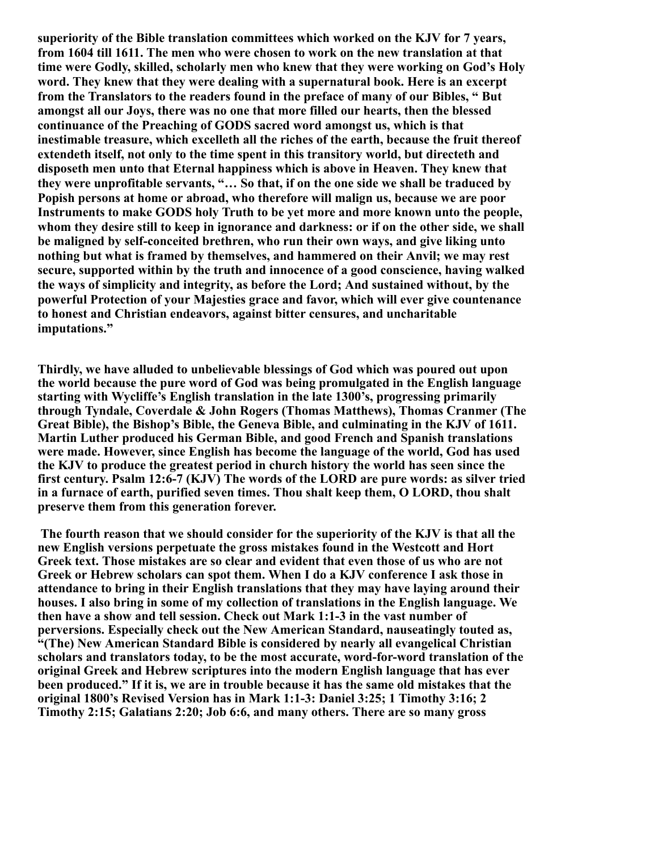**superiority of the Bible translation committees which worked on the KJV for 7 years, from 1604 till 1611. The men who were chosen to work on the new translation at that time were Godly, skilled, scholarly men who knew that they were working on God's Holy word. They knew that they were dealing with a supernatural book. Here is an excerpt from the Translators to the readers found in the preface of many of our Bibles, " But amongst all our Joys, there was no one that more filled our hearts, then the blessed continuance of the Preaching of GODS sacred word amongst us, which is that inestimable treasure, which excelleth all the riches of the earth, because the fruit thereof extendeth itself, not only to the time spent in this transitory world, but directeth and disposeth men unto that Eternal happiness which is above in Heaven. They knew that they were unprofitable servants, "… So that, if on the one side we shall be traduced by Popish persons at home or abroad, who therefore will malign us, because we are poor Instruments to make GODS holy Truth to be yet more and more known unto the people, whom they desire still to keep in ignorance and darkness: or if on the other side, we shall be maligned by self-conceited brethren, who run their own ways, and give liking unto nothing but what is framed by themselves, and hammered on their Anvil; we may rest secure, supported within by the truth and innocence of a good conscience, having walked the ways of simplicity and integrity, as before the Lord; And sustained without, by the powerful Protection of your Majesties grace and favor, which will ever give countenance to honest and Christian endeavors, against bitter censures, and uncharitable imputations."**

**Thirdly, we have alluded to unbelievable blessings of God which was poured out upon the world because the pure word of God was being promulgated in the English language starting with Wycliffe's English translation in the late 1300's, progressing primarily through Tyndale, Coverdale & John Rogers (Thomas Matthews), Thomas Cranmer (The Great Bible), the Bishop's Bible, the Geneva Bible, and culminating in the KJV of 1611. Martin Luther produced his German Bible, and good French and Spanish translations were made. However, since English has become the language of the world, God has used the KJV to produce the greatest period in church history the world has seen since the first century. Psalm 12:6-7 (KJV) The words of the LORD are pure words: as silver tried in a furnace of earth, purified seven times. Thou shalt keep them, O LORD, thou shalt preserve them from this generation forever.**

**The fourth reason that we should consider for the superiority of the KJV is that all the new English versions perpetuate the gross mistakes found in the Westcott and Hort Greek text. Those mistakes are so clear and evident that even those of us who are not Greek or Hebrew scholars can spot them. When I do a KJV conference I ask those in attendance to bring in their English translations that they may have laying around their houses. I also bring in some of my collection of translations in the English language. We then have a show and tell session. Check out Mark 1:1-3 in the vast number of perversions. Especially check out the New American Standard, nauseatingly touted as, "(The) New American Standard Bible is considered by nearly all evangelical Christian scholars and translators today, to be the most accurate, word-for-word translation of the original Greek and Hebrew scriptures into the modern English language that has ever been produced." If it is, we are in trouble because it has the same old mistakes that the original 1800's Revised Version has in Mark 1:1-3: Daniel 3:25; 1 Timothy 3:16; 2 Timothy 2:15; Galatians 2:20; Job 6:6, and many others. There are so many gross**